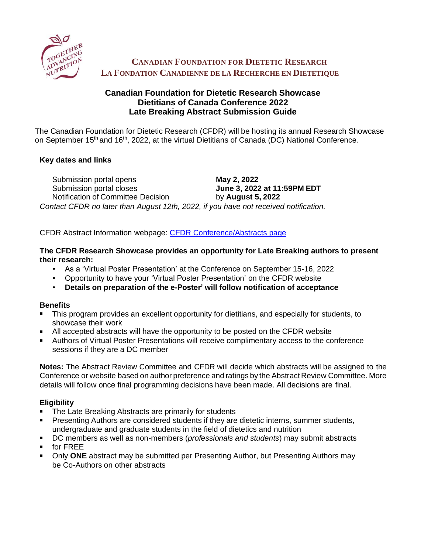

# **CANADIAN FOUNDATION FOR DIETETIC RESEARCH LA FONDATION CANADIENNE DE LA RECHERCHE EN DIETETIQUE**

# **Canadian Foundation for Dietetic Research Showcase Dietitians of Canada Conference 2022 Late Breaking Abstract Submission Guide**

The Canadian Foundation for Dietetic Research (CFDR) will be hosting its annual Research Showcase on September 15<sup>th</sup> and 16<sup>th</sup>, 2022, at the virtual Dietitians of Canada (DC) National Conference.

## **Key dates and links**

Submission portal opens **May 2, 2022** Submission portal closes **June 3, 2022 at 11:59PM EDT** Notification of Committee Decision by **August 5, 2022** *Contact CFDR no later than August 12th, 2022, if you have not received notification.*

CFDR Abstract Information webpage: [CFDR Conference/Abstracts page](https://www.cfdr.ca/Sharing/Conference.aspx)

## **The CFDR Research Showcase provides an opportunity for Late Breaking authors to present their research:**

- As a 'Virtual Poster Presentation' at the Conference on September 15-16, 2022
- Opportunity to have your 'Virtual Poster Presentation' on the CFDR website
- **Details on preparation of the e-Poster' will follow notification of acceptance**

## **Benefits**

- **This program provides an excellent opportunity for dietitians, and especially for students, to** showcase their work
- All accepted abstracts will have the opportunity to be posted on the CFDR website
- Authors of Virtual Poster Presentations will receive complimentary access to the conference sessions if they are a DC member

**Notes:** The Abstract Review Committee and CFDR will decide which abstracts will be assigned to the Conference or website based on author preference and ratings by the Abstract Review Committee. More details will follow once final programming decisions have been made. All decisions are final.

## **Eligibility**

- The Late Breaking Abstracts are primarily for students  $\blacksquare$
- Presenting Authors are considered students if they are dietetic interns, summer students, undergraduate and graduate students in the field of dietetics and nutrition
- DC members as well as non-members (*professionals and students*) may submit abstracts
- **for FREE**
- **Diangler 3 Den** *DNE* abstract may be submitted per Presenting Author, but Presenting Authors may be Co-Authors on other abstracts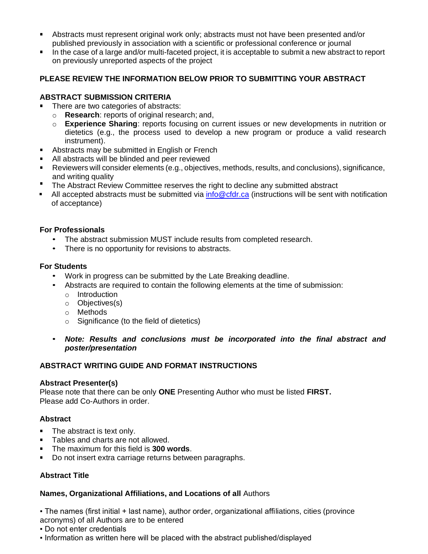- Abstracts must represent original work only; abstracts must not have been presented and/or published previously in association with a scientific or professional conference or journal
- In the case of a large and/or multi-faceted project, it is acceptable to submit a new abstract to report on previously unreported aspects of the project

## **PLEASE REVIEW THE INFORMATION BELOW PRIOR TO SUBMITTING YOUR ABSTRACT**

### **ABSTRACT SUBMISSION CRITERIA**

- There are two categories of abstracts:
	- o **Research**: reports of original research; and,
	- o **Experience Sharing**: reports focusing on current issues or new developments in nutrition or dietetics (e.g., the process used to develop a new program or produce a valid research instrument).
- **Abstracts may be submitted in English or French**
- All abstracts will be blinded and peer reviewed
- Reviewers will consider elements (e.g., objectives, methods, results, and conclusions), significance, and writing quality
- **The Abstract Review Committee reserves the right to decline any submitted abstract**
- **EXECT** All accepted abstracts must be submitted via  $info@cdr.ca$  (instructions will be sent with notification of acceptance)

#### **For Professionals**

- The abstract submission MUST include results from completed research.
- There is no opportunity for revisions to abstracts.

#### **For Students**

- Work in progress can be submitted by the Late Breaking deadline.
- Abstracts are required to contain the following elements at the time of submission:
	- o Introduction
	- o Objectives(s)
	- o Methods
	- o Significance (to the field of dietetics)
- *Note: Results and conclusions must be incorporated into the final abstract and poster/presentation*

## **ABSTRACT WRITING GUIDE AND FORMAT INSTRUCTIONS**

#### **Abstract Presenter(s)**

Please note that there can be only **ONE** Presenting Author who must be listed **FIRST.** Please add Co-Authors in order.

## **Abstract**

- The abstract is text only.  $\blacksquare$
- Tables and charts are not allowed.
- The maximum for this field is **300 words**.
- Do not insert extra carriage returns between paragraphs.

## **Abstract Title**

## **Names, Organizational Affiliations, and Locations of all** Authors

▪ The names (first initial + last name), author order, organizational affiliations, cities (province

acronyms) of all Authors are to be entered

- Do not enter credentials
- Information as written here will be placed with the abstract published/displayed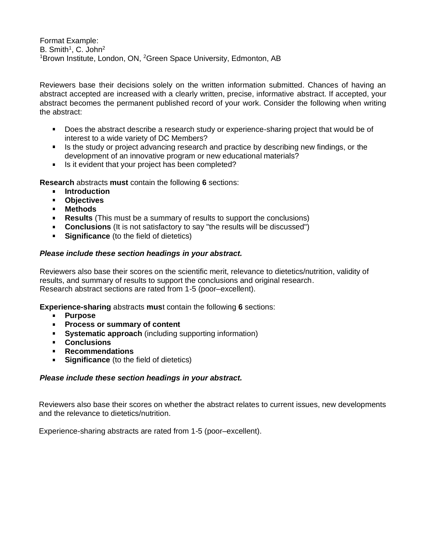Format Example: B. Smith<sup>1</sup>, C. John<sup>2</sup> <sup>1</sup>Brown Institute, London, ON, <sup>2</sup>Green Space University, Edmonton, AB

Reviewers base their decisions solely on the written information submitted. Chances of having an abstract accepted are increased with a clearly written, precise, informative abstract. If accepted, your abstract becomes the permanent published record of your work. Consider the following when writing the abstract:

- Does the abstract describe a research study or experience-sharing project that would be of interest to a wide variety of DC Members?
- Is the study or project advancing research and practice by describing new findings, or the development of an innovative program or new educational materials?
- Is it evident that your project has been completed?

**Research** abstracts **must** contain the following **6** sections:

- **F** Introduction
- **Objectives**
- **Methods**
- **Results** (This must be a summary of results to support the conclusions)
- **Conclusions** (It is not satisfactory to say "the results will be discussed")
- **Significance** (to the field of dietetics)  $\mathbf{R}^{(1)}$

#### *Please include these section headings in your abstract.*

Reviewers also base their scores on the scientific merit, relevance to dietetics/nutrition, validity of results, and summary of results to support the conclusions and original research. Research abstract sections are rated from 1-5 (poor–excellent).

**Experience-sharing** abstracts **mus**t contain the following **6** sections:

- **Purpose**
- **Process or summary of content**
- **Systematic approach** (including supporting information)
- **Conclusions**
- **Recommendations**
- **Significance** (to the field of dietetics)

#### *Please include these section headings in your abstract.*

Reviewers also base their scores on whether the abstract relates to current issues, new developments and the relevance to dietetics/nutrition.

Experience-sharing abstracts are rated from 1-5 (poor–excellent).